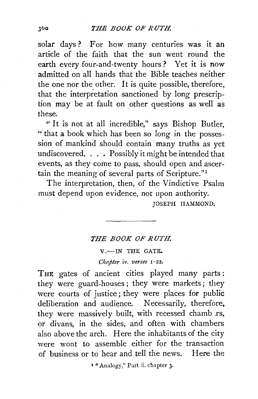solar days? For how many centuries was it an article of the faith that the sun went round the earth every four-and-twenty hours? Yet it is now admitted on all hands that the Bible teaches neither the one nor the other. It is quite possible, therefore, that the interpretation sanctioned by long prescription may be at fault on other questions as well as these.

"It is not at all incredible," says Bishop Butler, '' that a book which has been so long in the possession of mankind should contain many truths as yet undiscovered. . . . Possibly it might be intended that events, as they come to pass, should open and ascertain the meaning of several parts of Scripture."<sup>1</sup>

The interpretation, then, of the Vindictive Psalm must depend upon evidence, not upon authority.

JOSEPH HAMMOND.

## *THE BOOK OF RUTH.*

V .- IN THE GATE. *Clzapter* iv. *verses* 1-22.

THE gates of ancient cities played many parts: they were guard-houses ; they were markets ; they were courts of justice; they were places for public deliberation and audience. Necessarily, therefore, they were massively built, with recessed chamb .rs, or divans, in the sides, and often with chambers also above the arch. Here the inhabitants of the city were wont to assemble either for the transaction of business or to hear and tell the news. Here the

t "Analogy," Part ii. chapter 3·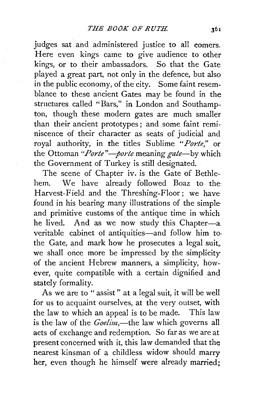judges sat and administered justice to all comers. Here even kings came to give audience to other kings, or to their ambassadors. So that the Gate played a great part, not only in the defence, but also in the public economy, of the city. Some faint resemblance to these ancient Gates may be found in the structures called "Bars," in London and Southampton, though these modern gates are much smaller than their ancient prototypes ; and some faint reminiscence of their character as seats of judicial and royal authority, in the titles Sublime *"Porte,"* or the Ottoman "*Porte"—porte* meaning *gate*—by which the Government of Turkey is still designated.

The scene of Chapter iv. is the Gate of Bethlehem. We have already followed Boaz to the: Harvest-Field and the Threshing-Floor; we have found in his bearing many illustrations of the simpleand primitive customs of the antique time in which he lived. And as we now study this Chapter-a veritable cabinet of antiquities-and follow him to the Gate, and mark how he prosecutes a legal suit,. we shall once more be impressed by the simplicity of the ancient Hebrew manners, a simplicity, however, quite compatible with a certain dignified and stately formality.

As we are to " assist " at a legal suit, it will be well for us to acquaint ourselves, at the very outset, with the law to which an appeal is to be made. This law is the law of the *Goelim*,—the law which governs all acts of exchange and redemption. So far as we are at present concerned with it, this law demanded that the nearest kinsman of a childless widow should marry her, even though he himself were already married;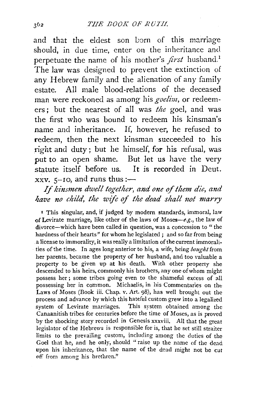and that the eldest son born of this marriage should, in due time, enter on the inheritance and perpetuate the name of his mother's *first* husband.<sup>1</sup> The law was designed to prevent the extinction of any Hebrew family and the alienation of any family estate. All male blood-relations of the deceased man were reckoned as among his *goelim*, or redeemers; but the nearest of all was *the* goel, and was the first who was bound to redeem his kinsman's name and inheritance. If, however, he refused to redeem, then the next kinsman succeeded to his right and duty; but he himself, for his refusal, was put to an open shame. But let us have the very statute itself before us. It is recorded in Deut.  $xxv.$  5-10, and runs thus: $-$ 

## *If kinsmen dwell together, and one of them die, and* have no child, the wife of the dead shall not marry

<sup>1</sup> This singular, and, if judged by modern standards, immoral, law of Levirate marriage, like other of the laws of Moses-e.g., the law of divorce-which have been called in question, was a concession to " the hardness of their hearts" for whom he legislated; and so far from being a license to immorality, it was really a limitation of the current immoralities of the time. In ages long anterior to his, a wife, being *bought* from her parents, became the property of her husband, and too valuable a property to be given up at his death. With other property she descended to his heirs, commonly his brothers, any one of whom might possess her ; some tribes going even to the shameful excess of all possessing her in common. Michaelis, in his Commentaries on the Laws of Moses (Book iii. Chap. v. Art. 98), has well brought out the process and advance by which this hateful custom grew into a legalized system of Levirate marriages. This system obtained among the Canaanitish tribes for centuries before the time of Moses, as is proved by the shocking story recorded in Genesis xxxviii. All that the great legislator of the Hebrews is responsible for is, that he set still straiter limits to the prevailing custom, including among the duties of the Goel that he, and he only, should "raise up the name of the dead upon his inheritance, that the name of the dead might not be cut off from among his brethren."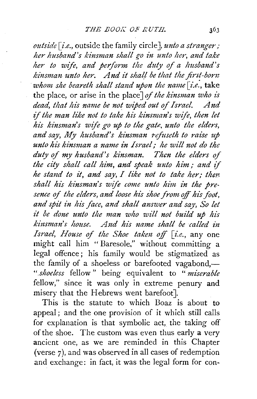*outside* [*i.e.*, outside the family circle], unto a stranger; her husband's kinsman shall go in unto her, and take her to wife, and perform the duty of a husband's *kinsman unto her. And it shall be that the first-born whom she beareth shall stand upon the name i.e.*, take the place, or arise in the place of the kinsman who is *dead, that his name be not wiped out of Israel. And* if *the man like not to take his kinsman's wife, then let his kinsman's wife go up to the gate, unto the elders,*  and say, My husband's kinsman refuseth to raise up *unto hiS kinsman a name in Israel; he will not do the*  duty of my husband's kinsman. Then the elders of *the city shall call him, and speak unto him* ; *and if he stand to it, and say, I like not to take her; then shall his kinsman's wife come unto him. in the pre*sence of the elders, and loose his shoe from off his foot, and spit in his face, and shall answer and say, So let *it be done unto the man who will not build up his*  kinsman's house. And his name shall be called in *Israel, House of the Shoe taken off [i.e., any one* might call him " Baresole," without committing a legal offence; his family would be stigmatized as the family of a shoeless or barefooted vagabond. $-$ *".shoeless* fellow" being equivalent to *"miserable*  fellow," since it was only in extreme penury **and**  misery that the Hebrews went barefoot].

This is the statute to which Boaz is about to appeal ; and the one provision of it which still calls for explanation is that symbolic act, the taking off of the shoe. The custom was even thus early a very ancient one, as we are reminded in this Chapter (verse 7), and was observed in all cases of redemption and exchange: in fact, it was the legal form for con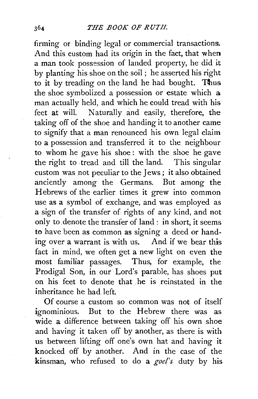firming or binding legal or commercial transactions. And this custom had its origin in the fact, that when a man took possession of landed property, he did it by planting his shoe on the soil ; he asserted his right to it by treading on the land he had bought. Thus the shoe symbolized a possession or estate which a man actually held, and which he could tread with his feet at will. Naturally and easily, therefore, the taking off of the shoe and handing it to another came to signify that a man renounced his own legal claim to a possession and transferred it to the neighbour to whom he gave his shoe: with the shoe he gave the right to tread and till the land. This singular custom was not peculiar to the Jews ; it also obtained anciently among the Germans. But among the Hebrews of the earlier times it grew into common use as a symbol of exchange, and was employed as a sign of the transfer of rights of any kind, and not only to denote the transfer of land: in short, it seems to have been as common as signing a deed or handing over a warrant is with us. And if we bear this fact in mind, we often get a new light on even the most familiar passages. Thus, for example, the Prodigal Son, in our Lord's parable, has shoes put on his feet to denote that he is reinstated in the inheritance he had left.

Of course a custom so common was not of itself ignominious. But to the Hebrew there was as wide a difference between taking off his own shoe and having it taken off by another, as there is with us between lifting off one's own hat and having it knocked off by another. And in the case of the kinsman, who refused to do a *goel's* duty by his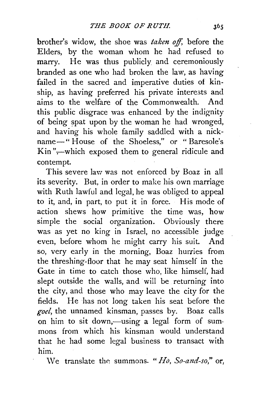brother's widow, the shoe was *taken off,* before the Elders, by the woman whom he had refused to marry. He was thus publicly and ceremoniously branded as one who had broken the law, as having failed in the sacred and imperative duties of kinship, as having preferred his private interests and aims to the welfare of the Commonwealth. And this public disgrace was enhanced by the indignity of being spat upon by the woman he had wronged, and having his whole family saddled with a nickname-" House of the Shoeless," or "Baresole's Kin", which exposed them to general ridicule and contempt.

This severe law was not enforced by Boaz in all its severity. But, in order to make his own marriage with Ruth lawful and legal, he was obliged to appeal to it, and, in part, to put it in force. His mode of action shews how primitive the time was, how simple the social organization. Obviously there was as yet no king in Israel, no accessible judge even, before whom he might carry his suit. And so, very early in the morning, Boaz hurries from the threshing-floor that he may seat himself in the Gate in time to catch those who, like himself, had slept outside the walls, and will be returning into the city, and those who may leave the city for the fields. He has not long taken his seat before the *goel,* the unnamed kinsman, passes by. Boaz calls on him to sit down,—using a legal form of summons from which his kinsman would understand that he had some legal business to transact with him.

\Ve translate the! summons. *"Ho, So-and-so,"* or,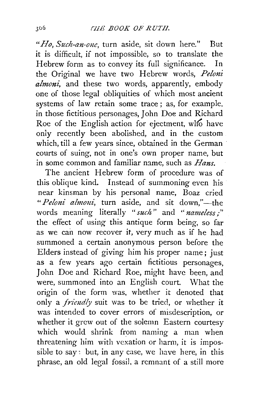*"Ho, Such-an-one,* turn aside, sit down here." But it is difficult, if not impossible, so to translate the Hebrew form as to convey its full significance. In the Original we have two Hebrew words, *Peloni*  almoni, and these two words, apparently, embody one of those legal obliquities of which most ancient systems of law retain some trace; as, for example, in those fictitious personages, John *Doe* and Richard Roe of the English action for ejectment, wlfo have only recently been abolished, and in the custom which, till a few years since, obtained in the German courts of suing, not in one's own proper name, but in some common and familiar name, such as *Hans*.

The ancient Hebrew form of procedure was of this oblique kind. Instead of summoning even his near kinsman by his personal name, Boaz cried "Peloni almoni, turn aside, and sit down,"—the words meaning literally "such" and "nameless;" the effect of using this antique form being, so far as we can now recover it, very much as if he had summoned a certain anonymous person before the Elders instead of giving him his proper name; just as a few years ago certain fictitious personages, John Doe and Richard Roe, might have been, and were, summoned into an English court. What the origin of the form was, whether it denoted that only a *friendly* suit was to be tried, or whether it was intended to cover errors of misdescription, or whether it grew out of the solemn Eastern courtesy which would shrink from naming a man when threatening him with vexation or harm, it is impossible to say: but, in any case, we have here, in this phrase, an old legal fossil, a remnant of a still more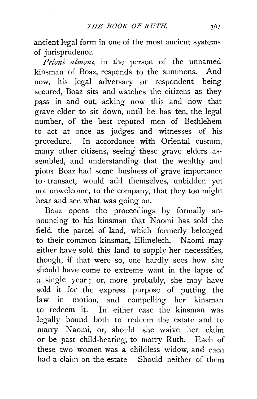ancient legal form in one of the most ancient systems of jurisprudence.

Peloni almoni, in the person of the unnamed kinsman of Boaz, responds to the summons. And now, his legal adversary or respondent being secured, Boaz sits and watches the citizens as they pass in and out, a£king now this and now that grave elder to sit down, until he has ten, the legal number, of the best reputed men of Bethlehem to act at once as judges and witnesses of his procedure. In accordance with Oriental custom, many other citizens, seeing these grave elders assembled, and understanding that the wealthy and pious Boaz had some business of grave importance to· transact, would add themselves, unbidden yet not unwelcome, to the company, that they too might hear and see what was going on.

Boaz opens the proceedings by formally announcing to his kinsman that Naomi has sold the field, the parcel of land, which formerly belonged to their common kinsman, Elimelech. Naomi may either have sold this land to supply her necessities, though, if that were so, one hardly sees how she should have come to extreme want in the lapse of a single year; or, more probably, she may have sold it for the express purpose of putting the law in motion, and compelling her kinsman to redeem it. In either case the kinsman was legally bound both to redeem the estate and to marry Naomi, or, should she waive her claim or be past child-bearing, to marry Ruth. Each of these two women was a childless widow, and each had a claim on the estate. Should neither of them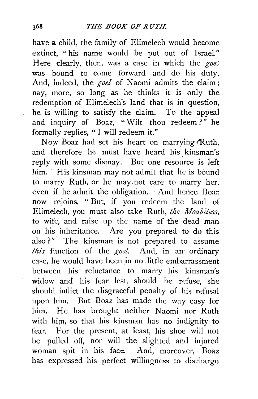have a child, the family of Elimelech would become extinct, "his name would be put out of Israel." Here clearly, then, was a case in which the *goe!*  was bound to come forward and do his duty. And, indeed, the goel of Naomi admits the claim; nay, more, so long as he thinks it is only the redemption of Elimelech's land that is in question, he. is willing to satisfy the claim. To the appeal and inquiry of Boaz, "Wilt thou redeem?" he formally replies, "I will redeem it."

Now Boaz had set his heart on marrying Ruth, and therefore he must have heard his kinsman's reply with some dismay. But one resource is left him. His kinsman may not admit that he is bound to marry Ruth, or he may.not care to. marry her, even if he admit the obligation. · And hence Doaz now rejoins, "But, if you redeem the land of Elimelech, you must also take Ruth, *the Moabitess*, to wife, and raise up the name of the dead man on his inheritance. Are you prepared to do this also?" The kinsman is not prepared to assume *this* function of the *goel.* And, in an ordinary case, he would have been in no little embarrassment between his reluctance to marry his kinsman's widow and his fear lest, should he refuse, she should inflict the disgraceful penalty of his refusal upon him. But Boaz has made the way easy for him. He has brought neither Naomi nor Ruth with him, so that his kinsman has no indignity to fear. For the present, at least, his shoe will not be pulled off, nor will the slighted and injured woman spit in his face. And, moreover, Boaz has expressed his perfect willingness to discharge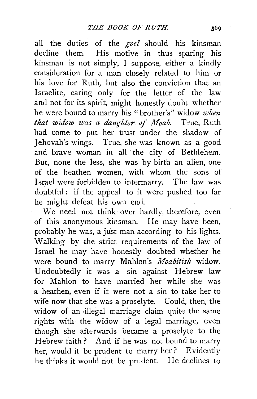all the duties. of the *goel* should his kinsman decline them. His motive in thus sparing his kinsman is not simply, 1 suppose, either a kindly consideration for a man closely related to him or his love for Ruth, but also the conviction that an Israelite, caring only for the letter of the law and not for its spirit, might honestly doubt whether he were bound to marry his" brother's" widow *when that widow was a daughter of Moab.* True, Ruth had come to put her trust under the shadow of Jehovah's wings. True, she was known as a good and brave woman in all the city of Bethlehem. But, none the less, she was by birth an alien, one of the heathen women, with whom the sons of Israel were forbidden to intermarry. The law was doubtful : if the appeal to it were pushed too far he might defeat his own end.

We need not think over hardly, therefore, even of this anonymous kinsman. He may have been, probably he was, a just man according to his lights. Walking by the strict requirements of the law of Israel he may have honestly doubted whether he were bound to marry Mahlon's *Moabitish* widow. Undoubtedly it was a sin against Hebrew law for Mahlon to have married her while she was a heathen, even if it were not a sin to take her to wife now that she was a proselyte. Could, then, the widow of an ·illegal marriage claim quite the same rights with the widow of a legal marriage, even though she afterwards became a proselyte to the Hebrew faith? And if he was not bound to marry her, would it be prudent to marry her? Evidently he thinks it would not be prudent. He declines to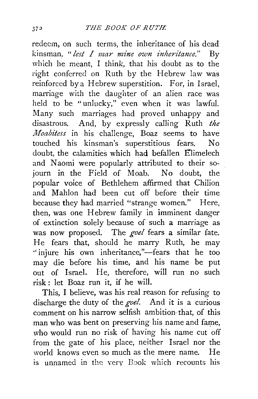redeem, on such terms, the inheritance of his dead kinsman, "*lest I mar mine own inheritance*." By which he meant. I think, that his doubt as to the right conferred on Ruth by the Hebrew law was reinforced by a Hebrew superstition. For, in Israel, marriage with the daughter of an alien race was held to be "unlucky," even when it was lawful. Many such marriages had proved unhappy and disastrous. And, by expressly calling Ruth *the Moabitess* in his challenge, Boaz seems to have touched his kinsman's superstitious fears. No doubt, the calamities which had befallen Elimelech and Naomi were popularly attributed to their sojourn in the Field of Moab. No doubt, the popular voice of Bethlehem affirmed that Chilion and Mahlon had been cut off before their time because they had married "strange women;" Here, then, was one Hebrew family in imminent danger of extinction solely because of such a marriage as was now proposed. The *goel* fears a similar fate. He fears that, should he marry Ruth, he may "injure his own inheritance,"-fears that he too may die before his time, and his name be put out of Israel. He, therefore, will run no such risk: let Boaz run it, if he will.

This, I believe, was his real reason for refusing to discharge the duty of the *goel.* And it is a curious comment on his narrow selfish ambition· that, of this man who was bent on preserving his name and fame, who would run no risk of having his name cut off from the gate of his place, neither Israel nor the world knows even so much as the mere name. He is unnamed in the very Book which recounts his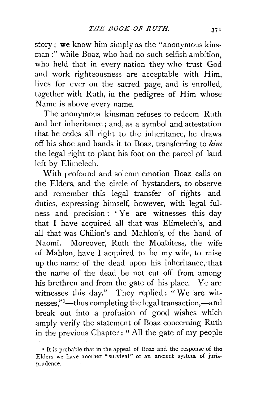story; we know him simply as the "anonymous kinsman :" while Boaz, who had no such selfish ambition, who held that in every nation they who trust God and work righteousness are acceptable with Him, lives for ever on the sacred page, and is enrolled, together with Ruth, in the pedigree of Him whose Name is above every name.

The anonymous kinsman refuses to redeem Ruth and her inheritance ; and, as a symbol and attestation that he cedes all right to the inheritance, he draws off his shoe and hands it to Boaz, transferring to *him*  the legal right to plant his foot on the parcel pf land left by Elimelech.

With profound and solemn emotion Boaz calls on the Elders, and the circle of bystanders, to observe and remember this legal transfer of rights and duties, expressing himself, however, with legal fulness and precision : ' Ye are witnesses this day that I have acquired all that was Elimelech's, and all that was Chilion's and Mahlon's, of the hand of Naomi. Moreover, Ruth the Moabitess, the wife of Mahlon, have I acquired to *be* my wife, to raise up the name of the dead upon his inheritance, that the name of the dead be not cut off from among his brethren and from the gate of his place. Ye are witnesses this day." They replied: "We are witnesses,"<sup>1</sup>—thus completing the legal transaction,—and break out into a profusion of good wishes which amply verify the statement of Boaz concerning Ruth in the previous Chapter : " All the gate of my people

<sup>1</sup>It is probable that in the appeal of Boaz and the response of the Elders we have another "survival" of an ancient system of jurisprudence.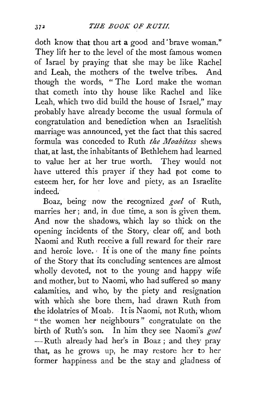doth know that thou art a good and 'brave woman." They lift her to the level of the most famous women of Israel by praying that she may be like Rachel and Leah, the mothers of the twelve tribes. And though the words, " The Lord make the woman that cometh into thy house like Rachel and like Leah, which two did build the house of Israel," may probably have already become the usual formula of congratulation and benediction when an lsraelitish marriage was announced, yet the fact that this sacred formula was conceded to Ruth *the Moabitess* shews that, at last, the inhabitants of Bethlehem had learned to value her at her true worth. They would not have uttered this prayer if they had pot come to esteem her, for her love and piety, as an Israelite indeed.

Boaz, being now the recognized *goel* of Ruth, marries her; and, in due time, a son is given them. And now the shadows, which lay so thick on the opening incidents of the Story, clear off, and both Naomi and Ruth receive a full reward for their rare and heroic love. It is one of the many fine points of the Story that its concluding sentences are almost wholly devoted, not to the young and happy wife and mother, but to Naomi, who had suffered so many calamities, and who, by the piety and resignation with which she bore them, had drawn Ruth from the idolatries of Moab. It is Naomi, not Ruth; whom " the women her neighbours" congratulate on the birth of Ruth's son. In him they see Naomi's *goel*  -Ruth already had her's in Boaz; and they pray that, as he grows up, he may restore her to her former happiness and be the stay and gladness of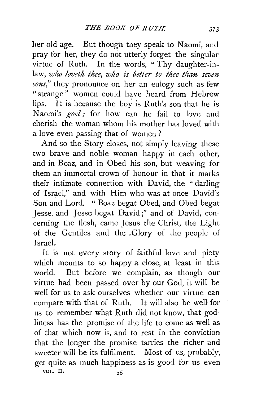her old age. But though tney speak to Naomi, and pray for her, they do not utterly forget the singular virtue of Ruth. In the words, "Thy daughter-inlaw, *who loveth thee, who is better to thee than seven sons,"* they pronounce on her an eulogy such as few "strange" women could have heard from Hebrew lips. It is because the boy is Ruth's son that he is N aomi's *goel;* for how can he fail to love and cherish the woman whom his mother has loved with a love even passing that of women ?

And so the Story closes, not simply leaving these two brave and noble woman happy in each other, and in Boaz, and in Obed his son, but weaving for them an immortal crown of honour in that it marks their intimate connection with David, the " darling of Israel," and with Him who was at once David's Son and Lord. "Boaz begat Obed, and Obed begat Jesse, and Jesse begat David;" and of David, concerning the flesh, came Jesus the Christ, the Light of the Gentiles and the .Glory of the people of IsraeL

It is not every story of faithful love and piety which mounts to so happy a close, at least in this world. But before we complain, as though our virtue had been passed over by our God, it will be well for us to ask ourselves whether our virtue can compare with that of Ruth. It will also be well for us to remember what Ruth did not know, that godliness has the promise of the life to come as well as of that which now is, and to rest in the conviction that the longer the promise tarries the richer and sweeter will be its fulfilment. Most of us, probably, get quite as much happiness as is good for us even

vol. II.